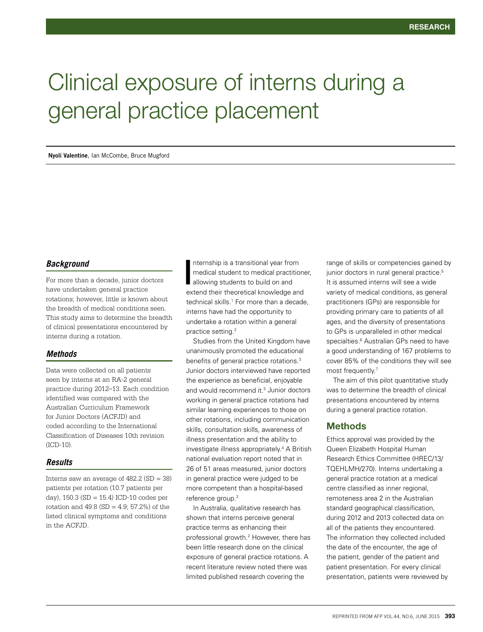# Clinical exposure of interns during a general practice placement

#### **Nyoli Valentine**, Ian McCombe, Bruce Mugford

### *Background*

For more than a decade, junior doctors have undertaken general practice rotations; however, little is known about the breadth of medical conditions seen. This study aims to determine the breadth of clinical presentations encountered by interns during a rotation.

## *Methods*

Data were collected on all patients seen by interns at an RA-2 general practice during 2012–13. Each condition identified was compared with the Australian Curriculum Framework for Junior Doctors (ACFJD) and coded according to the International Classification of Diseases 10th revision  $(ICD-10)$ 

#### *Results*

Interns saw an average of  $482.2$  (SD = 38) patients per rotation (10.7 patients per day),  $150.3$  (SD =  $15.4$ ) ICD-10 codes per rotation and  $49.8$  (SD = 4.9; 57.2%) of the listed clinical symptoms and conditions in the ACFJD.

nternship is a transitional year from medical student to medical practitioner, allowing students to build on and extend their theoretical knowledge and technical skills.1 For more than a decade, interns have had the opportunity to undertake a rotation within a general practice setting.2 I

Studies from the United Kingdom have unanimously promoted the educational benefits of general practice rotations.3 Junior doctors interviewed have reported the experience as beneficial, enjoyable and would recommend it.<sup>3</sup> Junior doctors working in general practice rotations had similar learning experiences to those on other rotations, including communication skills, consultation skills, awareness of illness presentation and the ability to investigate illness appropriately.4 A British national evaluation report noted that in 26 of 51 areas measured, junior doctors in general practice were judged to be more competent than a hospital-based reference group.3

In Australia, qualitative research has shown that interns perceive general practice terms as enhancing their professional growth.<sup>2</sup> However, there has been little research done on the clinical exposure of general practice rotations. A recent literature review noted there was limited published research covering the

range of skills or competencies gained by junior doctors in rural general practice.<sup>5</sup> It is assumed interns will see a wide variety of medical conditions, as general practitioners (GPs) are responsible for providing primary care to patients of all ages, and the diversity of presentations to GPs is unparalleled in other medical specialties.<sup>6</sup> Australian GPs need to have a good understanding of 167 problems to cover 85% of the conditions they will see most frequently.<sup>7</sup>

The aim of this pilot quantitative study was to determine the breadth of clinical presentations encountered by interns during a general practice rotation.

## **Methods**

Ethics approval was provided by the Queen Elizabeth Hospital Human Research Ethics Committee (HREC/13/ TQEHLMH/270). Interns undertaking a general practice rotation at a medical centre classified as inner regional, remoteness area 2 in the Australian standard geographical classification, during 2012 and 2013 collected data on all of the patients they encountered. The information they collected included the date of the encounter, the age of the patient, gender of the patient and patient presentation. For every clinical presentation, patients were reviewed by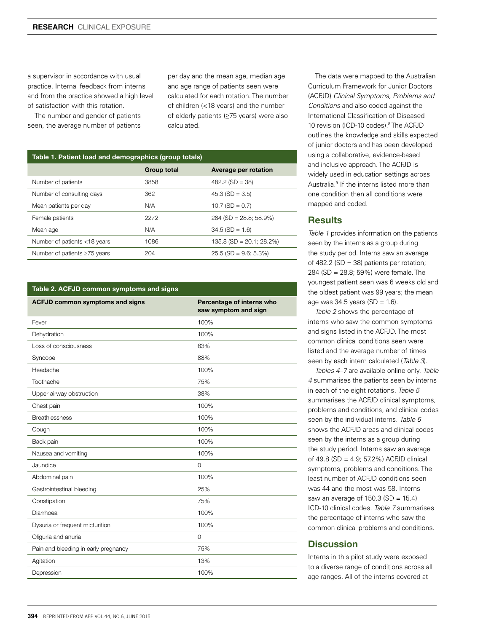a supervisor in accordance with usual practice. Internal feedback from interns and from the practice showed a high level of satisfaction with this rotation.

The number and gender of patients seen, the average number of patients

per day and the mean age, median age and age range of patients seen were calculated for each rotation. The number of children (<18 years) and the number of elderly patients (≥75 years) were also calculated.

# Table 1. Patient load and demographics (group totals)

|                                    | <b>Group total</b> | Average per rotation       |
|------------------------------------|--------------------|----------------------------|
| Number of patients                 | 3858               | $482.2$ (SD = 38)          |
| Number of consulting days          | 362                | $45.3$ (SD = 3.5)          |
| Mean patients per day              | N/A                | $10.7$ (SD = 0.7)          |
| Female patients                    | 2272               | $284$ (SD = 28.8; 58.9%)   |
| Mean age                           | N/A                | $34.5$ (SD = 1.6)          |
| Number of patients <18 years       | 1086               | $135.8$ (SD = 20.1; 28.2%) |
| Number of patients $\geq 75$ years | 204                | $25.5$ (SD = 9.6; 5.3%)    |

#### Table 2. ACFJD common symptoms and signs

| <b>ACFJD common symptoms and signs</b> | Percentage of interns who<br>saw symptom and sign |
|----------------------------------------|---------------------------------------------------|
| Fever                                  | 100%                                              |
| Dehydration                            | 100%                                              |
| Loss of consciousness                  | 63%                                               |
| Syncope                                | 88%                                               |
| Headache                               | 100%                                              |
| Toothache                              | 75%                                               |
| Upper airway obstruction               | 38%                                               |
| Chest pain                             | 100%                                              |
| <b>Breathlessness</b>                  | 100%                                              |
| Cough                                  | 100%                                              |
| Back pain                              | 100%                                              |
| Nausea and vomiting                    | 100%                                              |
| Jaundice                               | $\mathbf 0$                                       |
| Abdominal pain                         | 100%                                              |
| Gastrointestinal bleeding              | 25%                                               |
| Constipation                           | 75%                                               |
| Diarrhoea                              | 100%                                              |
| Dysuria or frequent micturition        | 100%                                              |
| Oliguria and anuria                    | $\Omega$                                          |
| Pain and bleeding in early pregnancy   | 75%                                               |
| Agitation                              | 13%                                               |
| Depression                             | 100%                                              |

The data were mapped to the Australian Curriculum Framework for Junior Doctors (ACFJD) *Clinical Symptoms, Problems and Conditions* and also coded against the International Classification of Diseased 10 revision (ICD-10 codes).8 The ACFJD outlines the knowledge and skills expected of junior doctors and has been developed using a collaborative, evidence-based and inclusive approach. The ACFJD is widely used in education settings across Australia.9 If the interns listed more than one condition then all conditions were mapped and coded.

## **Results**

*Table 1* provides information on the patients seen by the interns as a group during the study period. Interns saw an average of 482.2 (SD = 38) patients per rotation; 284 (SD = 28.8; 59%) were female. The youngest patient seen was 6 weeks old and the oldest patient was 99 years; the mean age was  $34.5$  years (SD = 1.6).

*Table 2* shows the percentage of interns who saw the common symptoms and signs listed in the ACFJD. The most common clinical conditions seen were listed and the average number of times seen by each intern calculated (*Table 3*).

*Tables 4*–*7* are available online only. *Table 4* summarises the patients seen by interns in each of the eight rotations. *Table 5* summarises the ACFJD clinical symptoms, problems and conditions, and clinical codes seen by the individual interns. *Table 6* shows the ACFJD areas and clinical codes seen by the interns as a group during the study period. Interns saw an average of 49.8 (SD = 4.9; 57.2%) ACFJD clinical symptoms, problems and conditions. The least number of ACFJD conditions seen was 44 and the most was 58. Interns saw an average of  $150.3$  (SD =  $15.4$ ) ICD-10 clinical codes. *Table 7* summarises the percentage of interns who saw the common clinical problems and conditions.

# **Discussion**

Interns in this pilot study were exposed to a diverse range of conditions across all age ranges. All of the interns covered at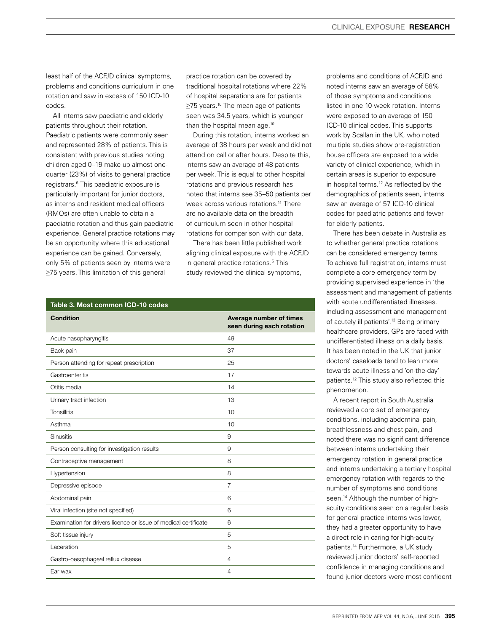least half of the ACFJD clinical symptoms, problems and conditions curriculum in one rotation and saw in excess of 150 ICD-10 codes.

All interns saw paediatric and elderly patients throughout their rotation. Paediatric patients were commonly seen and represented 28% of patients. This is consistent with previous studies noting children aged 0–19 make up almost onequarter (23%) of visits to general practice registrars.6 This paediatric exposure is particularly important for junior doctors, as interns and resident medical officers (RMOs) are often unable to obtain a paediatric rotation and thus gain paediatric experience. General practice rotations may be an opportunity where this educational experience can be gained. Conversely, only 5% of patients seen by interns were ≥75 years. This limitation of this general

practice rotation can be covered by traditional hospital rotations where 22% of hospital separations are for patients ≥75 years.<sup>10</sup> The mean age of patients seen was 34.5 years, which is younger than the hospital mean age.<sup>10</sup>

During this rotation, interns worked an average of 38 hours per week and did not attend on call or after hours. Despite this, interns saw an average of 48 patients per week. This is equal to other hospital rotations and previous research has noted that interns see 35–50 patients per week across various rotations.<sup>11</sup> There are no available data on the breadth of curriculum seen in other hospital rotations for comparison with our data.

There has been little published work aligning clinical exposure with the ACFJD in general practice rotations.5 This study reviewed the clinical symptoms,

#### Table 3. Most common ICD-10 codes

| <b>Condition</b>                                                | Average number of times<br>seen during each rotation |
|-----------------------------------------------------------------|------------------------------------------------------|
| Acute nasopharyngitis                                           | 49                                                   |
| Back pain                                                       | 37                                                   |
| Person attending for repeat prescription                        | 25                                                   |
| Gastroenteritis                                                 | 17                                                   |
| Otitis media                                                    | 14                                                   |
| Urinary tract infection                                         | 13                                                   |
| <b>Tonsillitis</b>                                              | 10                                                   |
| Asthma                                                          | 10                                                   |
| <b>Sinusitis</b>                                                | 9                                                    |
| Person consulting for investigation results                     | 9                                                    |
| Contraceptive management                                        | 8                                                    |
| Hypertension                                                    | 8                                                    |
| Depressive episode                                              | $\overline{7}$                                       |
| Abdominal pain                                                  | 6                                                    |
| Viral infection (site not specified)                            | 6                                                    |
| Examination for drivers licence or issue of medical certificate | 6                                                    |
| Soft tissue injury                                              | 5                                                    |
| Laceration                                                      | 5                                                    |
| Gastro-oesophageal reflux disease                               | $\overline{4}$                                       |
| Ear wax                                                         | $\overline{4}$                                       |

problems and conditions of ACFJD and noted interns saw an average of 58% of those symptoms and conditions listed in one 10-week rotation. Interns were exposed to an average of 150 ICD-10 clinical codes. This supports work by Scallan in the UK, who noted multiple studies show pre-registration house officers are exposed to a wide variety of clinical experience, which in certain areas is superior to exposure in hospital terms.12 As reflected by the demographics of patients seen, interns saw an average of 57 ICD-10 clinical codes for paediatric patients and fewer for elderly patients.

There has been debate in Australia as to whether general practice rotations can be considered emergency terms. To achieve full registration, interns must complete a core emergency term by providing supervised experience in 'the assessment and management of patients with acute undifferentiated illnesses, including assessment and management of acutely ill patients'.13 Being primary healthcare providers, GPs are faced with undifferentiated illness on a daily basis. It has been noted in the UK that junior doctors' caseloads tend to lean more towards acute illness and 'on-the-day' patients.12 This study also reflected this phenomenon.

A recent report in South Australia reviewed a core set of emergency conditions, including abdominal pain, breathlessness and chest pain, and noted there was no significant difference between interns undertaking their emergency rotation in general practice and interns undertaking a tertiary hospital emergency rotation with regards to the number of symptoms and conditions seen.<sup>14</sup> Although the number of highacuity conditions seen on a regular basis for general practice interns was lower, they had a greater opportunity to have a direct role in caring for high-acuity patients.14 Furthermore, a UK study reviewed junior doctors' self-reported confidence in managing conditions and found junior doctors were most confident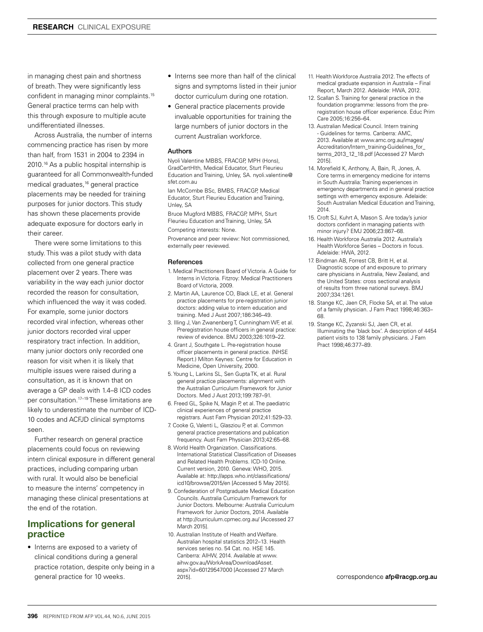in managing chest pain and shortness of breath. They were significantly less confident in managing minor complaints.15 General practice terms can help with this through exposure to multiple acute undifferentiated illnesses.

Across Australia, the number of interns commencing practice has risen by more than half, from 1531 in 2004 to 2394 in 2010.<sup>16</sup> As a public hospital internship is guaranteed for all Commonwealth-funded medical graduates,16 general practice placements may be needed for training purposes for junior doctors. This study has shown these placements provide adequate exposure for doctors early in their career.

There were some limitations to this study. This was a pilot study with data collected from one general practice placement over 2 years. There was variability in the way each junior doctor recorded the reason for consultation, which influenced the way it was coded. For example, some junior doctors recorded viral infection, whereas other junior doctors recorded viral upper respiratory tract infection. In addition, many junior doctors only recorded one reason for visit when it is likely that multiple issues were raised during a consultation, as it is known that on average a GP deals with 1.4–8 ICD codes per consultation.17–19 These limitations are likely to underestimate the number of ICD-10 codes and ACFJD clinical symptoms seen.

Further research on general practice placements could focus on reviewing intern clinical exposure in different general practices, including comparing urban with rural. It would also be beneficial to measure the interns' competency in managing these clinical presentations at the end of the rotation.

# Implications for general practice

• Interns are exposed to a variety of clinical conditions during a general practice rotation, despite only being in a general practice for 10 weeks.

- Interns see more than half of the clinical signs and symptoms listed in their junior doctor curriculum during one rotation.
- General practice placements provide invaluable opportunities for training the large numbers of junior doctors in the current Australian workforce.

#### Authors

Nyoli Valentine MBBS, FRACGP MPH (Hons) GradCertHlth, Medical Educator, Sturt Fleurieu Education and Training, Unley, SA. nyoli.valentine@ sfet.com.au

Ian McCombe BSc, BMBS, FRACGP, Medical Educator, Sturt Fleurieu Education and Training, Unley, SA

Bruce Mugford MBBS, FRACGP, MPH, Sturt Fleurieu Education and Training, Unley, SA

Competing interests: None.

Provenance and peer review: Not commissioned, externally peer reviewed.

#### References

- 1. Medical Practitioners Board of Victoria. A Guide for Interns in Victoria. Fitzroy: Medical Practitioners Board of Victoria, 2009.
- 2. Martin AA, Laurence CO, Black LE, et al. General practice placements for pre-registration junior doctors: adding value to intern education and training. Med J Aust 2007;186:346–49.
- 3. Illing J, Van Zwanenberg T, Cunningham WF, et al. Preregistration house officers in general practice: review of evidence. BMJ 2003;326:1019–22.
- 4. Grant J, Southgate L. Pre-registration house officer placements in general practice. (NHSE Report.) Milton Keynes: Centre for Education in Medicine, Open University, 2000.
- 5. Young L, Larkins SL, Sen Gupta TK, et al. Rural general practice placements: alignment with the Australian Curriculum Framework for Junior Doctors. Med J Aust 2013;199:787–91.
- 6. Freed GL, Spike N, Magin P, et al. The paediatric clinical experiences of general practice registrars. Aust Fam Physician 2012;41:529–33.
- 7. Cooke G, Valenti L, Glasziou P, et al. Common general practice presentations and publication frequency. Aust Fam Physician 2013;42:65–68.
- 8. World Health Organization. Classifications. International Statistical Classification of Diseases and Related Health Problems. ICD-10 Online. Current version, 2010. Geneva: WHO, 2015. Available at: http://apps.who.int/classifications/ icd10/browse/2015/en [Accessed 5 May 2015].
- 9. Confederation of Postgraduate Medical Education Councils. Australia Curriculum Framework for Junior Doctors. Melbourne: Australia Curriculum Framework for Junior Doctors, 2014. Available at http://curriculum.cpmec.org.au/ [Accessed 27 March 2015].
- 10. Australian Institute of Health and Welfare. Australian hospital statistics 2012–13. Health services series no. 54 Cat. no. HSE 145. Canberra: AIHW, 2014. Available at www. aihw.gov.au/WorkArea/DownloadAsset. aspx?id=60129547000 [Accessed 27 March 2015].
- 11. Health Workforce Australia 2012. The effects of medical graduate expansion in Australia – Final Report, March 2012. Adelaide: HWA, 2012.
- 12. Scallan S. Training for general practice in the foundation programme: lessons from the preregistration house officer experience. Educ Prim Care 2005;16:256–64.
- 13. Australian Medical Council. Intern training - Guidelines for terms. Canberra: AMC, 2013. Available at www.amc.org.au/images/ Accreditation/Intern\_training-Guidelines\_for terms\_2013\_12\_18.pdf [Accessed 27 March 2015].
- 14. Morefield K, Anthony, A, Bain, R, Jones, A. Core terms in emergency medicine for interns in South Australia: Training experiences in emergency departments and in general practice settings with emergency exposure. Adelaide: South Australian Medical Education and Training, 2014.
- 15. Croft SJ, Kuhrt A, Mason S. Are today's junior doctors confident in managing patients with minor injury? EMJ 2006;23:867–68.
- 16. Health Workforce Australia 2012. Australia's Health Workforce Series – Doctors in focus. Adelaide: HWA, 2012.
- 17. Bindman AB, Forrest CB, Britt H, et al. Diagnostic scope of and exposure to primary care physicians in Australia, New Zealand, and the United States: cross sectional analysis of results from three national surveys. BMJ 2007;334:1261.
- 18. Stange KC, Jaen CR, Flocke SA, et al. The value of a family physician. J Fam Pract 1998;46:363– 68.
- 19. Stange KC, Zyzanski SJ, Jaen CR, et al. Illuminating the 'black box'. A description of 4454 patient visits to 138 family physicians. J Fam Pract 1998;46:377–89.

correspondence afp@racgp.org.au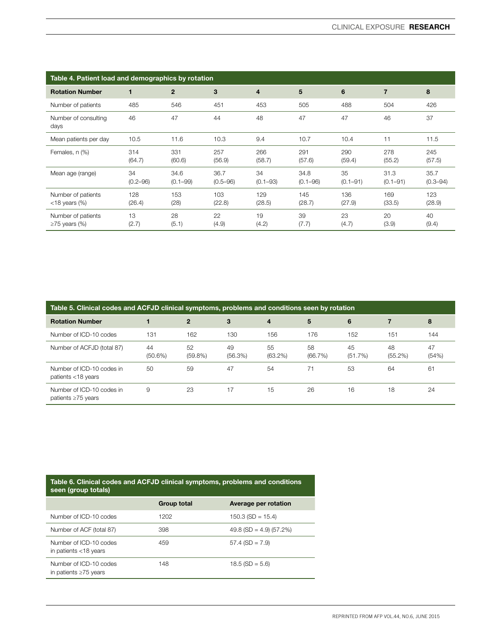| Table 4. Patient load and demographics by rotation |                    |                      |                      |                    |                      |                    |                      |                      |
|----------------------------------------------------|--------------------|----------------------|----------------------|--------------------|----------------------|--------------------|----------------------|----------------------|
| <b>Rotation Number</b>                             | 1                  | $\mathbf{2}$         | 3                    | 4                  | 5                    | 6                  | $\overline{7}$       | 8                    |
| Number of patients                                 | 485                | 546                  | 451                  | 453                | 505                  | 488                | 504                  | 426                  |
| Number of consulting<br>days                       | 46                 | 47                   | 44                   | 48                 | 47                   | 47                 | 46                   | 37                   |
| Mean patients per day                              | 10.5               | 11.6                 | 10.3                 | 9.4                | 10.7                 | 10.4               | 11                   | 11.5                 |
| Females, n (%)                                     | 314<br>(64.7)      | 331<br>(60.6)        | 257<br>(56.9)        | 266<br>(58.7)      | 291<br>(57.6)        | 290<br>(59.4)      | 278<br>(55.2)        | 245<br>(57.5)        |
| Mean age (range)                                   | 34<br>$(0.2 - 96)$ | 34.6<br>$(0.1 - 99)$ | 36.7<br>$(0.5 - 96)$ | 34<br>$(0.1 - 93)$ | 34.8<br>$(0.1 - 96)$ | 35<br>$(0.1 - 91)$ | 31.3<br>$(0.1 - 91)$ | 35.7<br>$(0.3 - 94)$ |
| Number of patients<br>$<$ 18 years (%)             | 128<br>(26.4)      | 153<br>(28)          | 103<br>(22.8)        | 129<br>(28.5)      | 145<br>(28.7)        | 136<br>(27.9)      | 169<br>(33.5)        | 123<br>(28.9)        |
| Number of patients<br>$\geq$ 75 years (%)          | 13<br>(2.7)        | 28<br>(5.1)          | 22<br>(4.9)          | 19<br>(4.2)        | 39<br>(7.7)          | 23<br>(4.7)        | 20<br>(3.9)          | 40<br>(9.4)          |

| Table 5. Clinical codes and ACFJD clinical symptoms, problems and conditions seen by rotation |                  |                  |               |                  |               |               |               |             |
|-----------------------------------------------------------------------------------------------|------------------|------------------|---------------|------------------|---------------|---------------|---------------|-------------|
| <b>Rotation Number</b>                                                                        |                  | $\mathbf{2}$     | 3             | 4                | 5             | 6             |               | 8           |
| Number of ICD-10 codes                                                                        | 131              | 162              | 130           | 156              | 176           | 152           | 151           | 144         |
| Number of ACFJD (total 87)                                                                    | 44<br>$(50.6\%)$ | 52<br>$(59.8\%)$ | 49<br>(56.3%) | 55<br>$(63.2\%)$ | 58<br>(66.7%) | 45<br>(51.7%) | 48<br>(55.2%) | 47<br>(54%) |
| Number of ICD-10 codes in<br>patients <18 years                                               | 50               | 59               | 47            | 54               | 71            | 53            | 64            | 61          |
| Number of ICD-10 codes in<br>patients $\geq 75$ years                                         | 9                | 23               | 17            | 15               | 26            | 16            | 18            | 24          |

| Table 6. Clinical codes and ACFJD clinical symptoms, problems and conditions<br>seen (group totals) |             |                           |  |  |  |
|-----------------------------------------------------------------------------------------------------|-------------|---------------------------|--|--|--|
|                                                                                                     | Group total | Average per rotation      |  |  |  |
| Number of ICD-10 codes                                                                              | 1202        | $150.3$ (SD = 15.4)       |  |  |  |
| Number of ACF (total 87)                                                                            | 398         | $49.8$ (SD = 4.9) (57.2%) |  |  |  |
| Number of ICD-10 codes<br>in patients $<$ 18 years                                                  | 459         | $57.4$ (SD = $7.9$ )      |  |  |  |
| Number of ICD-10 codes<br>in patients $\geq 75$ years                                               | 148         | $18.5$ (SD = 5.6)         |  |  |  |